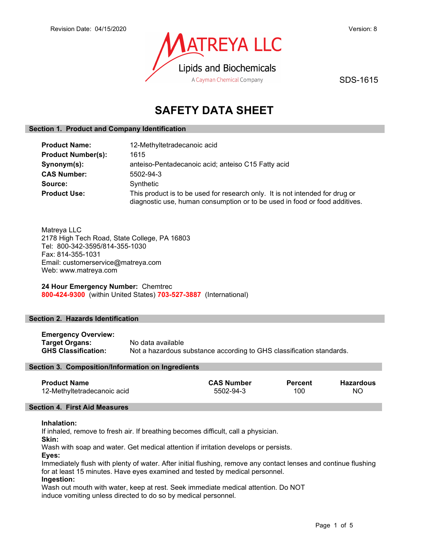

SDS-1615

# SAFETY DATA SHEET

## Section 1. Product and Company Identification

| <b>Product Name:</b>      | 12-Methyltetradecanoic acid                                                                                                                                |
|---------------------------|------------------------------------------------------------------------------------------------------------------------------------------------------------|
| <b>Product Number(s):</b> | 1615                                                                                                                                                       |
| Synonym(s):               | anteiso-Pentadecanoic acid; anteiso C15 Fatty acid                                                                                                         |
| <b>CAS Number:</b>        | 5502-94-3                                                                                                                                                  |
| Source:                   | Synthetic                                                                                                                                                  |
| <b>Product Use:</b>       | This product is to be used for research only. It is not intended for drug or<br>diagnostic use, human consumption or to be used in food or food additives. |

Matreya LLC 2178 High Tech Road, State College, PA 16803 Tel: 800-342-3595/814-355-1030 Fax: 814-355-1031 Email: customerservice@matreya.com Web: www.matreya.com

24 Hour Emergency Number: Chemtrec 800-424-9300 (within United States) 703-527-3887 (International)

## Section 2. Hazards Identification

| <b>Emergency Overview:</b> |                                                                      |
|----------------------------|----------------------------------------------------------------------|
| Target Organs:             | No data available                                                    |
| <b>GHS Classification:</b> | Not a hazardous substance according to GHS classification standards. |

## Section 3. Composition/Information on Ingredients

| <b>CAS Number</b><br><b>Percent</b> | <b>Hazardous</b> |
|-------------------------------------|------------------|
|                                     | ΝO               |
|                                     | 100<br>5502-94-3 |

## Section 4. First Aid Measures

## Inhalation:

If inhaled, remove to fresh air. If breathing becomes difficult, call a physician.

Skin:

Wash with soap and water. Get medical attention if irritation develops or persists.

Eyes:

Immediately flush with plenty of water. After initial flushing, remove any contact lenses and continue flushing for at least 15 minutes. Have eyes examined and tested by medical personnel.

## Ingestion:

Wash out mouth with water, keep at rest. Seek immediate medical attention. Do NOT induce vomiting unless directed to do so by medical personnel.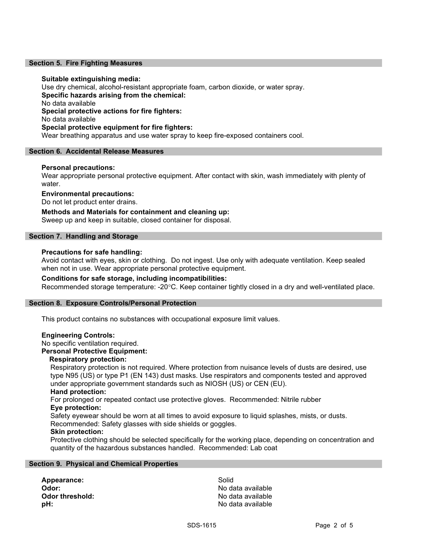## Section 5. Fire Fighting Measures

## Suitable extinguishing media:

Use dry chemical, alcohol-resistant appropriate foam, carbon dioxide, or water spray. Specific hazards arising from the chemical: No data available Special protective actions for fire fighters: No data available Special protective equipment for fire fighters: Wear breathing apparatus and use water spray to keep fire-exposed containers cool.

## Section 6. Accidental Release Measures

## Personal precautions:

Wear appropriate personal protective equipment. After contact with skin, wash immediately with plenty of water.

## Environmental precautions:

Do not let product enter drains.

Methods and Materials for containment and cleaning up: Sweep up and keep in suitable, closed container for disposal.

## Section 7. Handling and Storage

## Precautions for safe handling:

Avoid contact with eyes, skin or clothing. Do not ingest. Use only with adequate ventilation. Keep sealed when not in use. Wear appropriate personal protective equipment.

## Conditions for safe storage, including incompatibilities:

Recommended storage temperature: -20°C. Keep container tightly closed in a dry and well-ventilated place.

## Section 8. Exposure Controls/Personal Protection

This product contains no substances with occupational exposure limit values.

## Engineering Controls:

No specific ventilation required.

## Personal Protective Equipment:

## Respiratory protection:

Respiratory protection is not required. Where protection from nuisance levels of dusts are desired, use type N95 (US) or type P1 (EN 143) dust masks. Use respirators and components tested and approved under appropriate government standards such as NIOSH (US) or CEN (EU).

## Hand protection:

For prolonged or repeated contact use protective gloves. Recommended: Nitrile rubber Eye protection:

Safety eyewear should be worn at all times to avoid exposure to liquid splashes, mists, or dusts.

## Recommended: Safety glasses with side shields or goggles.

## Skin protection:

Protective clothing should be selected specifically for the working place, depending on concentration and quantity of the hazardous substances handled. Recommended: Lab coat

## Section 9. Physical and Chemical Properties

Appearance: Solid Odor: No data available Odor threshold: Contract the Society of the No data available **pH:**  $\blacksquare$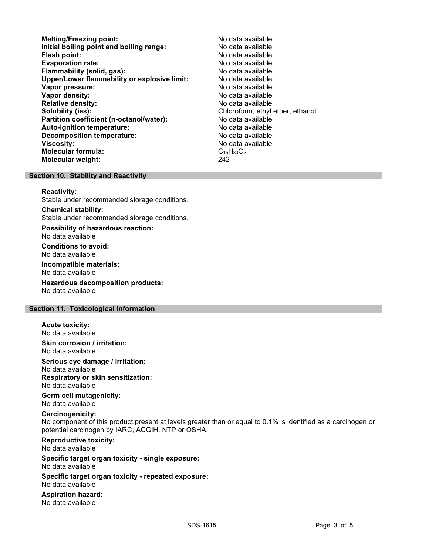- Melting/Freezing point: Melting/Freezing point: Initial boiling point and boiling range: No data available Flash point: No data available **Evaporation rate:** No data available Flammability (solid, gas): No data available Upper/Lower flammability or explosive limit: No data available Vapor pressure: No data available Vapor density: No data available Relative density: No data available Solubility (ies):<br> **Solubility (ies):** Chloroform, ethyl ether, ethanol<br> **Partition coefficient (n-octanol/water):** No data available Partition coefficient (n-octanol/water): Auto-ignition temperature: No data available Decomposition temperature: No data available Viscosity: No data available Molecular formula: C<sub>15</sub>H<sub>30</sub>O<sub>2</sub> Molecular weight: 242
	-

## Section 10. Stability and Reactivity

### Reactivity:

Stable under recommended storage conditions.

Chemical stability: Stable under recommended storage conditions.

Possibility of hazardous reaction: No data available

Conditions to avoid: No data available

Incompatible materials: No data available

Hazardous decomposition products: No data available

## Section 11. Toxicological Information

Acute toxicity:

No data available

Skin corrosion / irritation: No data available

Serious eye damage / irritation:

No data available Respiratory or skin sensitization:

No data available

Germ cell mutagenicity: No data available

## Carcinogenicity:

No component of this product present at levels greater than or equal to 0.1% is identified as a carcinogen or potential carcinogen by IARC, ACGIH, NTP or OSHA.

Reproductive toxicity: No data available

Specific target organ toxicity - single exposure: No data available

Specific target organ toxicity - repeated exposure: No data available

Aspiration hazard: No data available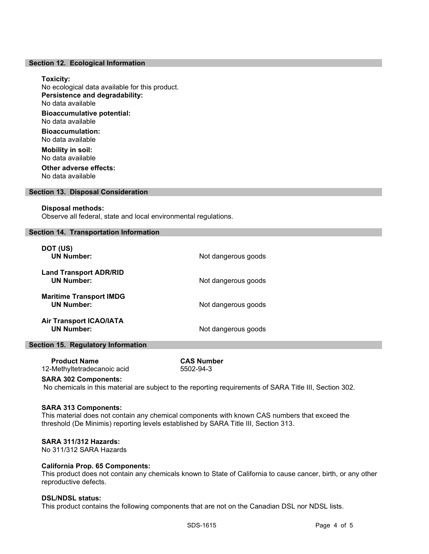## Section 12. Ecological Information

## Toxicity:

No ecological data available for this product. Persistence and degradability: No data available Bioaccumulative potential: No data available

Bioaccumulation: No data available

Mobility in soil: No data available Other adverse effects:

No data available

## Section 13. Disposal Consideration

## Disposal methods:

Observe all federal, state and local environmental regulations.

## Section 14. Transportation Information

| DOT (US)<br><b>UN Number:</b>                       | Not dangerous goods |
|-----------------------------------------------------|---------------------|
| <b>Land Transport ADR/RID</b><br><b>UN Number:</b>  | Not dangerous goods |
| <b>Maritime Transport IMDG</b><br><b>UN Number:</b> | Not dangerous goods |
| <b>Air Transport ICAO/IATA</b><br><b>UN Number:</b> | Not dangerous goods |

## Section 15. Regulatory Information

 Product Name CAS Number 12-Methyltetradecanoic acid 5502-94-3

## SARA 302 Components:

No chemicals in this material are subject to the reporting requirements of SARA Title III, Section 302.

## SARA 313 Components:

This material does not contain any chemical components with known CAS numbers that exceed the threshold (De Minimis) reporting levels established by SARA Title III, Section 313.

## SARA 311/312 Hazards:

No 311/312 SARA Hazards

## California Prop. 65 Components:

This product does not contain any chemicals known to State of California to cause cancer, birth, or any other reproductive defects.

#### DSL/NDSL status:

This product contains the following components that are not on the Canadian DSL nor NDSL lists.